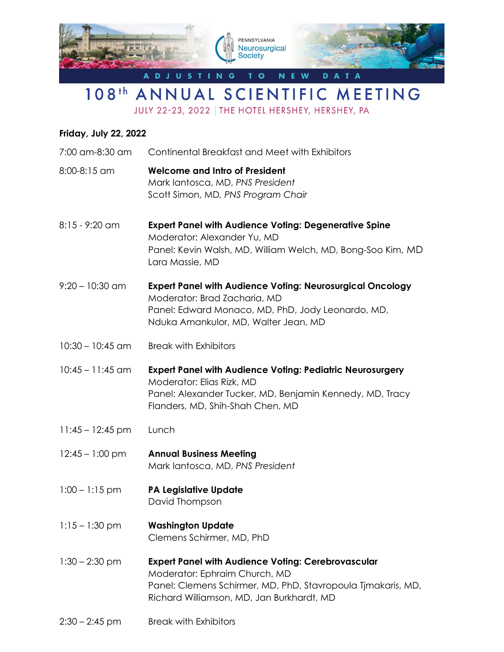

## 108<sup>th</sup> ANNUAL SCIENTIFIC MEETING

JULY 22-23, 2022 | THE HOTEL HERSHEY, HERSHEY, PA

## **Friday, July 22, 2022**

| 7:00 am-8:30 am    | Continental Breakfast and Meet with Exhibitors                                                                                                                                                          |
|--------------------|---------------------------------------------------------------------------------------------------------------------------------------------------------------------------------------------------------|
| 8:00-8:15 am       | <b>Welcome and Intro of President</b><br>Mark lantosca, MD, PNS President<br>Scott Simon, MD, PNS Program Chair                                                                                         |
| $8:15 - 9:20$ am   | <b>Expert Panel with Audience Voting: Degenerative Spine</b><br>Moderator: Alexander Yu, MD<br>Panel: Kevin Walsh, MD, William Welch, MD, Bong-Soo Kim, MD<br>Lara Massie, MD                           |
| $9:20 - 10:30$ am  | <b>Expert Panel with Audience Voting: Neurosurgical Oncology</b><br>Moderator: Brad Zacharia, MD<br>Panel: Edward Monaco, MD, PhD, Jody Leonardo, MD,<br>Nduka Amankulor, MD, Walter Jean, MD           |
| $10:30 - 10:45$ am | <b>Break with Exhibitors</b>                                                                                                                                                                            |
| $10:45 - 11:45$ am | <b>Expert Panel with Audience Voting: Pediatric Neurosurgery</b><br>Moderator: Elias Rizk, MD<br>Panel: Alexander Tucker, MD, Benjamin Kennedy, MD, Tracy<br>Flanders, MD, Shih-Shah Chen, MD           |
| $11:45 - 12:45$ pm | Lunch                                                                                                                                                                                                   |
| $12:45 - 1:00$ pm  | <b>Annual Business Meeting</b><br>Mark lantosca, MD, PNS President                                                                                                                                      |
| $1:00 - 1:15$ pm   | <b>PA Legislative Update</b><br>David Thompson                                                                                                                                                          |
| $1:15 - 1:30$ pm   | <b>Washington Update</b><br>Clemens Schirmer, MD, PhD                                                                                                                                                   |
| $1:30 - 2:30$ pm   | <b>Expert Panel with Audience Voting: Cerebrovascular</b><br>Moderator: Ephraim Church, MD<br>Panel: Clemens Schirmer, MD, PhD, Stavropoula Tjmakaris, MD,<br>Richard Williamson, MD, Jan Burkhardt, MD |